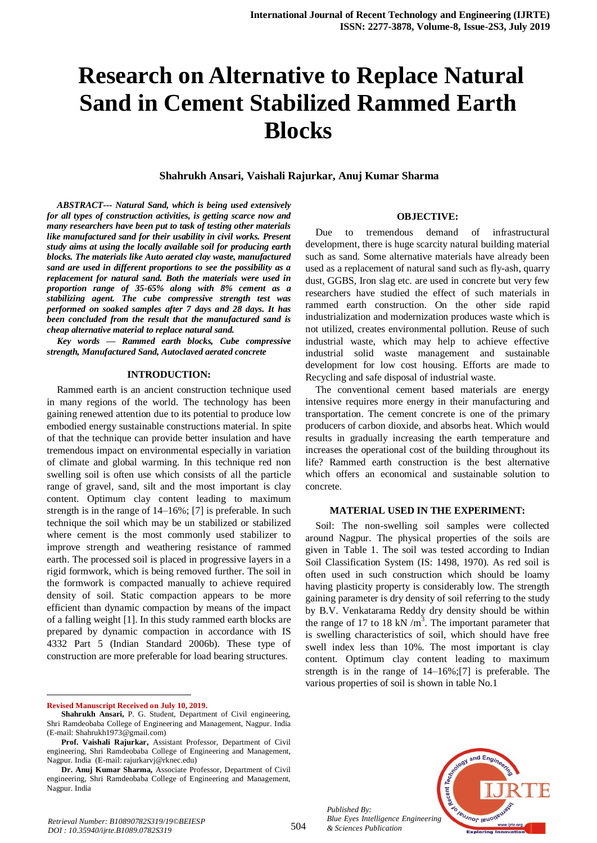# **Research on Alternative to Replace Natural Sand in Cement Stabilized Rammed Earth Blocks**

**Shahrukh Ansari, Vaishali Rajurkar, Anuj Kumar Sharma**

*ABSTRACT--- Natural Sand, which is being used extensively for all types of construction activities, is getting scarce now and many researchers have been put to task of testing other materials like manufactured sand for their usability in civil works. Present study aims at using the locally available soil for producing earth blocks. The materials like Auto aerated clay waste, manufactured sand are used in different proportions to see the possibility as a replacement for natural sand. Both the materials were used in proportion range of 35-65% along with 8% cement as a stabilizing agent. The cube compressive strength test was performed on soaked samples after 7 days and 28 days. It has been concluded from the result that the manufactured sand is cheap alternative material to replace natural sand.*

*Key words — Rammed earth blocks, Cube compressive strength, Manufactured Sand, Autoclaved aerated concrete*

#### **INTRODUCTION:**

Rammed earth is an ancient construction technique used in many regions of the world. The technology has been gaining renewed attention due to its potential to produce low embodied energy sustainable constructions material. In spite of that the technique can provide better insulation and have tremendous impact on environmental especially in variation of climate and global warming. In this technique red non swelling soil is often use which consists of all the particle range of gravel, sand, silt and the most important is clay content. Optimum clay content leading to maximum strength is in the range of 14–16%; [7] is preferable. In such technique the soil which may be un stabilized or stabilized where cement is the most commonly used stabilizer to improve strength and weathering resistance of rammed earth. The processed soil is placed in progressive layers in a rigid formwork, which is being removed further. The soil in the formwork is compacted manually to achieve required density of soil. Static compaction appears to be more efficient than dynamic compaction by means of the impact of a falling weight [1]. In this study rammed earth blocks are prepared by dynamic compaction in accordance with IS 4332 Part 5 (Indian Standard 2006b). These type of construction are more preferable for load bearing structures.

**Revised Manuscript Received on July 10, 2019.**

 $\ddot{\phantom{a}}$ 

#### **OBJECTIVE:**

Due to tremendous demand of infrastructural development, there is huge scarcity natural building material such as sand. Some alternative materials have already been used as a replacement of natural sand such as fly-ash, quarry dust, GGBS, Iron slag etc. are used in concrete but very few researchers have studied the effect of such materials in rammed earth construction. On the other side rapid industrialization and modernization produces waste which is not utilized, creates environmental pollution. Reuse of such industrial waste, which may help to achieve effective industrial solid waste management and sustainable development for low cost housing. Efforts are made to Recycling and safe disposal of industrial waste.

The conventional cement based materials are energy intensive requires more energy in their manufacturing and transportation. The cement concrete is one of the primary producers of carbon dioxide, and absorbs heat. Which would results in gradually increasing the earth temperature and increases the operational cost of the building throughout its life? Rammed earth construction is the best alternative which offers an economical and sustainable solution to concrete.

## **MATERIAL USED IN THE EXPERIMENT:**

Soil: The non-swelling soil samples were collected around Nagpur. The physical properties of the soils are given in Table 1. The soil was tested according to Indian Soil Classification System (IS: 1498, 1970). As red soil is often used in such construction which should be loamy having plasticity property is considerably low. The strength gaining parameter is dry density of soil referring to the study by B.V. Venkatarama Reddy dry density should be within the range of 17 to 18 kN  $/m<sup>3</sup>$ . The important parameter that is swelling characteristics of soil, which should have free swell index less than 10%. The most important is clay content. Optimum clay content leading to maximum strength is in the range of 14–16%;[7] is preferable. The various properties of soil is shown in table No.1



**Shahrukh Ansari,** P. G. Student, Department of Civil engineering, Shri Ramdeobaba College of Engineering and Management, Nagpur. India (E-mail: Shahrukh1973@gmail.com)

**Prof. Vaishali Rajurkar,** Assistant Professor, Department of Civil engineering, Shri Ramdeobaba College of Engineering and Management, Nagpur. India (E-mail: rajurkarvj@rknec.edu)

**Dr. Anuj Kumar Sharma,** Associate Professor, Department of Civil engineering, Shri Ramdeobaba College of Engineering and Management, Nagpur. India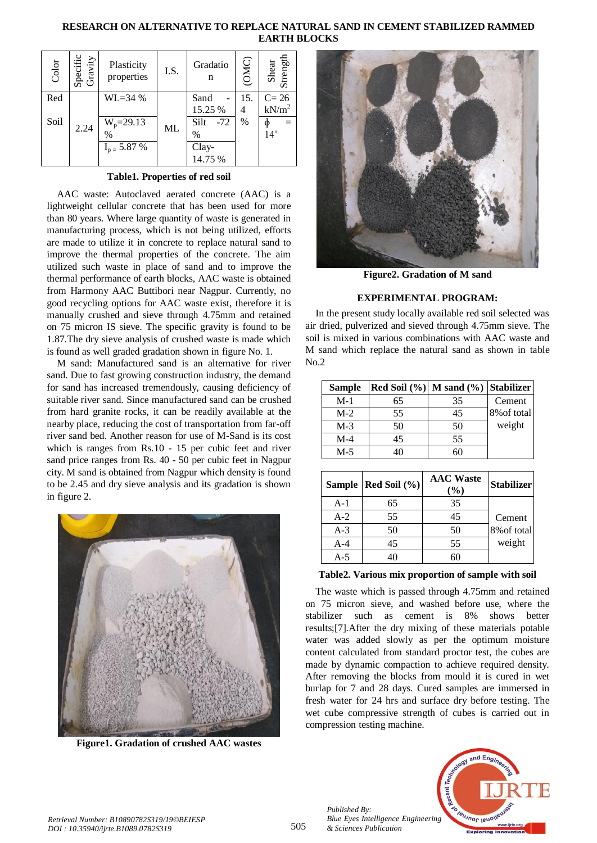## **RESEARCH ON ALTERNATIVE TO REPLACE NATURAL SAND IN CEMENT STABILIZED RAMMED EARTH BLOCKS**

| Color | Specific<br>Gravity | Plasticity<br>properties | I.S. | Gradatio<br>n | (OMC) | Shear<br>Strength |
|-------|---------------------|--------------------------|------|---------------|-------|-------------------|
| Red   |                     | $WL = 34%$               |      | Sand          | 15.   | $C=26$            |
|       |                     |                          |      | 15.25 %       | 4     | $kN/m^2$          |
| Soil  | 2.24                | $W_p = 29.13$            | ML   | Silt<br>$-72$ | %     |                   |
|       |                     | $\%$                     |      | $\%$          |       | $14^{\circ}$      |
|       |                     | $I_{p} = 5.87\%$         |      | Clay-         |       |                   |
|       |                     |                          |      | 14.75 %       |       |                   |

**Table1. Properties of red soil**

AAC waste: Autoclaved aerated concrete (AAC) is a lightweight cellular concrete that has been used for more than 80 years. Where large quantity of waste is generated in manufacturing process, which is not being utilized, efforts are made to utilize it in concrete to replace natural sand to improve the thermal properties of the concrete. The aim utilized such waste in place of sand and to improve the thermal performance of earth blocks, AAC waste is obtained from Harmony AAC Buttibori near Nagpur. Currently, no good recycling options for AAC waste exist, therefore it is manually crushed and sieve through 4.75mm and retained on 75 micron IS sieve. The specific gravity is found to be 1.87.The dry sieve analysis of crushed waste is made which is found as well graded gradation shown in figure No. 1.

M sand: Manufactured sand is an alternative for river sand. Due to fast growing construction industry, the demand for sand has increased tremendously, causing deficiency of suitable river sand. Since manufactured sand can be crushed from hard granite rocks, it can be readily available at the nearby place, reducing the cost of transportation from far-off river sand bed. Another reason for use of M-Sand is its cost which is ranges from Rs.10 - 15 per cubic feet and river sand price ranges from Rs. 40 - 50 per cubic feet in Nagpur city. M sand is obtained from Nagpur which density is found to be 2.45 and dry sieve analysis and its gradation is shown in figure 2.



**Figure1. Gradation of crushed AAC wastes** 



**Figure2. Gradation of M sand**

# **EXPERIMENTAL PROGRAM:**

In the present study locally available red soil selected was air dried, pulverized and sieved through 4.75mm sieve. The soil is mixed in various combinations with AAC waste and M sand which replace the natural sand as shown in table No.2

| <b>Sample</b> | Red Soil $(\%)$ M sand $(\%)$ Stabilizer |    |             |
|---------------|------------------------------------------|----|-------------|
| $M-1$         | 65                                       | 35 | Cement      |
| $M-2$         | 55                                       | 45 | 8% of total |
| $M-3$         | 50                                       | 50 | weight      |
| $M-4$         | 45                                       | 55 |             |
| $M-5$         | 40                                       |    |             |

|       | Sample   Red Soil (%) | <b>AAC</b> Waste<br>$(\%)$ | <b>Stabilizer</b> |
|-------|-----------------------|----------------------------|-------------------|
| $A-1$ | 65                    | 35                         |                   |
| $A-2$ | 55                    | 45                         | Cement            |
| $A-3$ | 50                    | 50                         | 8% of total       |
| $A-4$ | 45                    | 55                         | weight            |
| $A-5$ | 40                    | 60                         |                   |

#### **Table2. Various mix proportion of sample with soil**

The waste which is passed through 4.75mm and retained on 75 micron sieve, and washed before use, where the stabilizer such as cement is 8% shows better results;[7].After the dry mixing of these materials potable water was added slowly as per the optimum moisture content calculated from standard proctor test, the cubes are made by dynamic compaction to achieve required density. After removing the blocks from mould it is cured in wet burlap for 7 and 28 days. Cured samples are immersed in fresh water for 24 hrs and surface dry before testing. The wet cube compressive strength of cubes is carried out in compression testing machine.

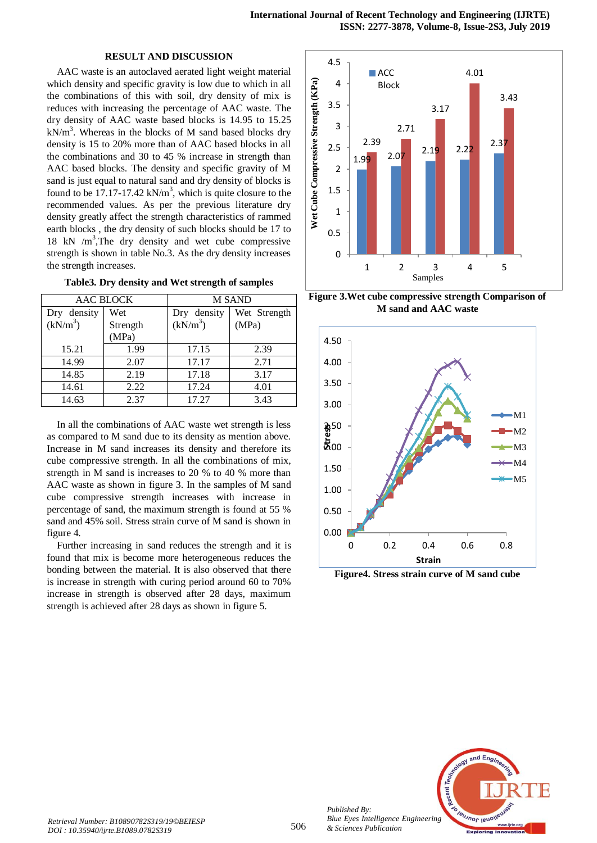#### **RESULT AND DISCUSSION**

AAC waste is an autoclaved aerated light weight material which density and specific gravity is low due to which in all the combinations of this with soil, dry density of mix is reduces with increasing the percentage of AAC waste. The dry density of AAC waste based blocks is 14.95 to 15.25  $kN/m<sup>3</sup>$ . Whereas in the blocks of M sand based blocks dry density is 15 to 20% more than of AAC based blocks in all the combinations and 30 to 45 % increase in strength than AAC based blocks. The density and specific gravity of M sand is just equal to natural sand and dry density of blocks is found to be 17.17-17.42  $kN/m<sup>3</sup>$ , which is quite closure to the recommended values. As per the previous literature dry density greatly affect the strength characteristics of rammed earth blocks , the dry density of such blocks should be 17 to 18 kN /m<sup>3</sup>,The dry density and wet cube compressive strength is shown in table No.3. As the dry density increases the strength increases.

| Table3. Dry density and Wet strength of samples |  |
|-------------------------------------------------|--|
|-------------------------------------------------|--|

| <b>AAC BLOCK</b> |          | M SAND      |              |  |
|------------------|----------|-------------|--------------|--|
| Dry density      | Wet      | Dry density | Wet Strength |  |
| $(kN/m^3)$       | Strength | $(kN/m^3)$  | (MPa)        |  |
|                  | (MPa)    |             |              |  |
| 15.21            | 1.99     | 17.15       | 2.39         |  |
| 14.99            | 2.07     | 17.17       | 2.71         |  |
| 14.85            | 2.19     | 17.18       | 3.17         |  |
| 14.61            | 2.22     | 17.24       | 4.01         |  |
| 14.63            | 2.37     | 17.27       | 3.43         |  |

In all the combinations of AAC waste wet strength is less as compared to M sand due to its density as mention above. Increase in M sand increases its density and therefore its cube compressive strength. In all the combinations of mix, strength in M sand is increases to 20 % to 40 % more than AAC waste as shown in figure 3. In the samples of M sand cube compressive strength increases with increase in percentage of sand, the maximum strength is found at 55 % sand and 45% soil. Stress strain curve of M sand is shown in figure 4.

Further increasing in sand reduces the strength and it is found that mix is become more heterogeneous reduces the bonding between the material. It is also observed that there is increase in strength with curing period around 60 to 70% increase in strength is observed after 28 days, maximum strength is achieved after 28 days as shown in figure 5.



**Figure 3.Wet cube compressive strength Comparison of M sand and AAC waste**



**Figure4. Stress strain curve of M sand cube**



*Published By:*

*& Sciences Publication*